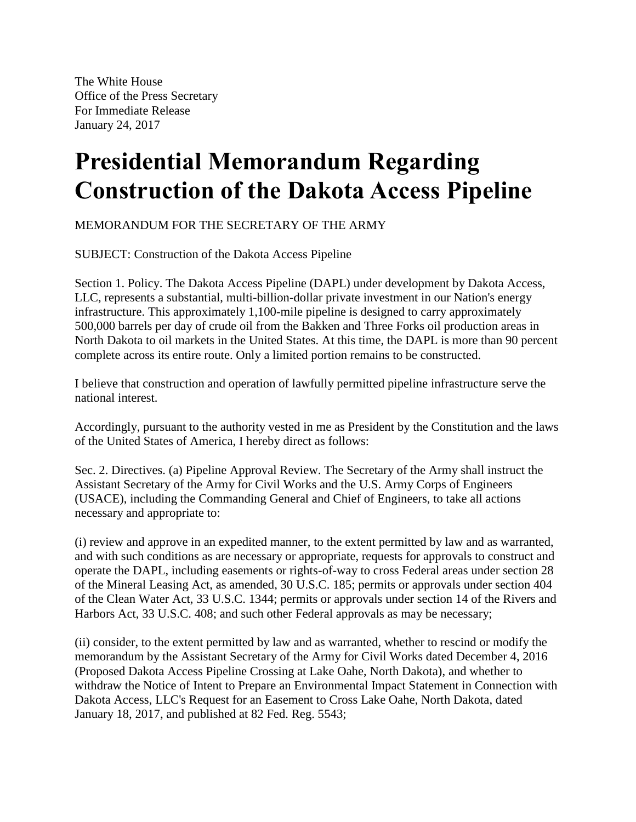The White House Office of the Press Secretary For Immediate Release January 24, 2017

## **Presidential Memorandum Regarding Construction of the Dakota Access Pipeline**

MEMORANDUM FOR THE SECRETARY OF THE ARMY

SUBJECT: Construction of the Dakota Access Pipeline

Section 1. Policy. The Dakota Access Pipeline (DAPL) under development by Dakota Access, LLC, represents a substantial, multi-billion-dollar private investment in our Nation's energy infrastructure. This approximately 1,100-mile pipeline is designed to carry approximately 500,000 barrels per day of crude oil from the Bakken and Three Forks oil production areas in North Dakota to oil markets in the United States. At this time, the DAPL is more than 90 percent complete across its entire route. Only a limited portion remains to be constructed.

I believe that construction and operation of lawfully permitted pipeline infrastructure serve the national interest.

Accordingly, pursuant to the authority vested in me as President by the Constitution and the laws of the United States of America, I hereby direct as follows:

Sec. 2. Directives. (a) Pipeline Approval Review. The Secretary of the Army shall instruct the Assistant Secretary of the Army for Civil Works and the U.S. Army Corps of Engineers (USACE), including the Commanding General and Chief of Engineers, to take all actions necessary and appropriate to:

(i) review and approve in an expedited manner, to the extent permitted by law and as warranted, and with such conditions as are necessary or appropriate, requests for approvals to construct and operate the DAPL, including easements or rights-of-way to cross Federal areas under section 28 of the Mineral Leasing Act, as amended, 30 U.S.C. 185; permits or approvals under section 404 of the Clean Water Act, 33 U.S.C. 1344; permits or approvals under section 14 of the Rivers and Harbors Act, 33 U.S.C. 408; and such other Federal approvals as may be necessary;

(ii) consider, to the extent permitted by law and as warranted, whether to rescind or modify the memorandum by the Assistant Secretary of the Army for Civil Works dated December 4, 2016 (Proposed Dakota Access Pipeline Crossing at Lake Oahe, North Dakota), and whether to withdraw the Notice of Intent to Prepare an Environmental Impact Statement in Connection with Dakota Access, LLC's Request for an Easement to Cross Lake Oahe, North Dakota, dated January 18, 2017, and published at 82 Fed. Reg. 5543;